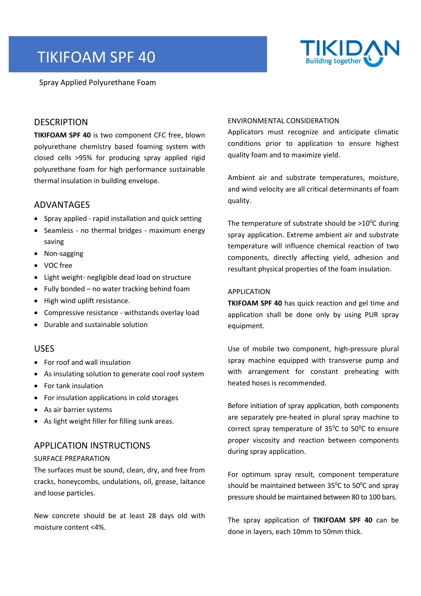# TIKIFOAM SPF 40

Spray Applied Polyurethane Foam



### **DESCRIPTION**

**TIKIFOAM SPF 40** is two component CFC free, blown polyurethane chemistry based foaming system with closed cells >95% for producing spray applied rigid polyurethane foam for high performance sustainable thermal insulation in building envelope.

#### ADVANTAGES

- Spray applied rapid installation and quick setting
- Seamless no thermal bridges maximum energy saving
- Non-sagging
- VOC free
- Light weight- negligible dead load on structure
- Fully bonded no water tracking behind foam
- High wind uplift resistance.
- Compressive resistance withstands overlay load
- Durable and sustainable solution

#### USES

- For roof and wall insulation
- As insulating solution to generate cool roof system
- For tank insulation
- For insulation applications in cold storages
- As air barrier systems
- As light weight filler for filling sunk areas.

## APPLICATION INSTRUCTIONS

#### SURFACE PREPARATION

The surfaces must be sound, clean, dry, and free from cracks, honeycombs, undulations, oil, grease, laitance and loose particles.

New concrete should be at least 28 days old with moisture content <4%.

#### ENVIRONMENTAL CONSIDERATION

Applicators must recognize and anticipate climatic conditions prior to application to ensure highest quality foam and to maximize yield.

Ambient air and substrate temperatures, moisture, and wind velocity are all critical determinants of foam quality.

The temperature of substrate should be  $>10^{\circ}$ C during spray application. Extreme ambient air and substrate temperature will influence chemical reaction of two components, directly affecting yield, adhesion and resultant physical properties of the foam insulation.

#### APPLICATION

**TKIFOAM SPF 40** has quick reaction and gel time and application shall be done only by using PUR spray equipment.

Use of mobile two component, high-pressure plural spray machine equipped with transverse pump and with arrangement for constant preheating with heated hoses is recommended.

Before initiation of spray application, both components are separately pre-heated in plural spray machine to correct spray temperature of  $35^{\circ}$ C to  $50^{\circ}$ C to ensure proper viscosity and reaction between components during spray application.

For optimum spray result, component temperature should be maintained between  $35^{\circ}$ C to  $50^{\circ}$ C and spray pressure should be maintained between 80 to 100 bars.

The spray application of **TIKIFOAM SPF 40** can be done in layers, each 10mm to 50mm thick.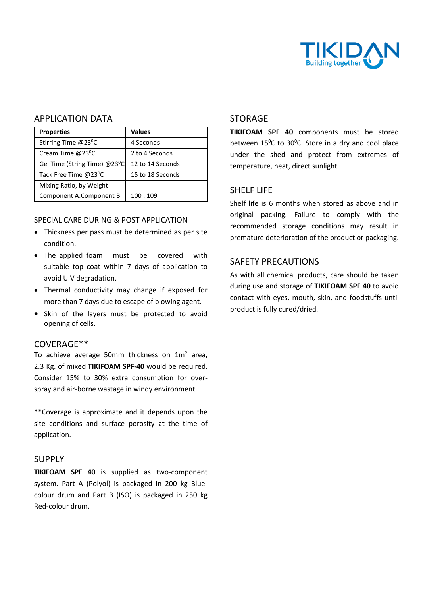

## APPLICATION DATA

| <b>Properties</b>                         | <b>Values</b>    |  |
|-------------------------------------------|------------------|--|
| Stirring Time $@23$ <sup>o</sup> C        | 4 Seconds        |  |
| Cream Time @23 <sup>0</sup> C             | 2 to 4 Seconds   |  |
| Gel Time (String Time) @23 <sup>0</sup> C | 12 to 14 Seconds |  |
| Tack Free Time @23 <sup>0</sup> C         | 15 to 18 Seconds |  |
| Mixing Ratio, by Weight                   |                  |  |
| Component A:Component B                   | 100:109          |  |
|                                           |                  |  |

#### SPECIAL CARE DURING & POST APPLICATION

- Thickness per pass must be determined as per site condition.
- The applied foam must be covered with suitable top coat within 7 days of application to avoid U.V degradation.
- Thermal conductivity may change if exposed for more than 7 days due to escape of blowing agent.
- Skin of the layers must be protected to avoid opening of cells.

### COVERAGE\*\*

To achieve average 50mm thickness on  $1m^2$  area, 2.3 Kg. of mixed **TIKIFOAM SPF-40** would be required. Consider 15% to 30% extra consumption for overspray and air-borne wastage in windy environment.

\*\*Coverage is approximate and it depends upon the site conditions and surface porosity at the time of application.

## **SUPPLY**

**TIKIFOAM SPF 40** is supplied as two-component system. Part A (Polyol) is packaged in 200 kg Bluecolour drum and Part B (ISO) is packaged in 250 kg Red-colour drum.

## STORAGE

**TIKIFOAM SPF 40** components must be stored between  $15^{\circ}$ C to  $30^{\circ}$ C. Store in a dry and cool place under the shed and protect from extremes of temperature, heat, direct sunlight.

## SHELF LIFE

Shelf life is 6 months when stored as above and in original packing. Failure to comply with the recommended storage conditions may result in premature deterioration of the product or packaging.

## SAFETY PRECAUTIONS

As with all chemical products, care should be taken during use and storage of **TIKIFOAM SPF 40** to avoid contact with eyes, mouth, skin, and foodstuffs until product is fully cured/dried.